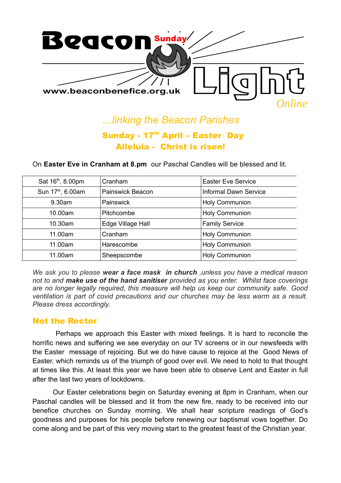

# *…linking the Beacon Parishes*

## Sunday - 17<sup>th</sup> April – Easter Day Alleluia - Christ is risen!

On **Easter Eve in Cranham at 8.pm** our Paschal Candles will be blessed and lit.

| Sat 16 <sup>th</sup> , 8.00pm | Cranham           | <b>Easter Eve Service</b>    |
|-------------------------------|-------------------|------------------------------|
| Sun 17 <sup>th</sup> , 6.00am | Painswick Beacon  | <b>Informal Dawn Service</b> |
| 9.30am                        | Painswick         | <b>Holy Communion</b>        |
| 10.00am                       | Pitchcombe        | <b>Holy Communion</b>        |
| 10.30am                       | Edge Village Hall | <b>Family Service</b>        |
| 11.00am                       | Cranham           | <b>Holy Communion</b>        |
| 11.00am                       | Harescombe        | <b>Holy Communion</b>        |
| 11.00am                       | Sheepscombe       | <b>Holy Communion</b>        |

*We ask you to please wear a face mask in church ,unless you have a medical reason not to and make use of the hand sanitiser provided as you enter. Whilst face coverings are no longer legally required, this measure will help us keep our community safe. Good ventilation is part of covid precautions and our churches may be less warm as a result. Please dress accordingly.*

### Not the Rector

 Perhaps we approach this Easter with mixed feelings. It is hard to reconcile the horrific news and suffering we see everyday on our TV screens or in our newsfeeds with the Easter message of rejoicing. But we do have cause to rejoice at the Good News of Easter, which reminds us of the triumph of good over evil. We need to hold to that thought at times like this. At least this year we have been able to observe Lent and Easter in full after the last two years of lockdowns.

Our Easter celebrations begin on Saturday evening at 8pm in Cranham, when our Paschal candles will be blessed and lit from the new fire, ready to be received into our benefice churches on Sunday morning. We shall hear scripture readings of God's goodness and purposes for his people before renewing our baptismal vows together. Do come along and be part of this very moving start to the greatest feast of the Christian year.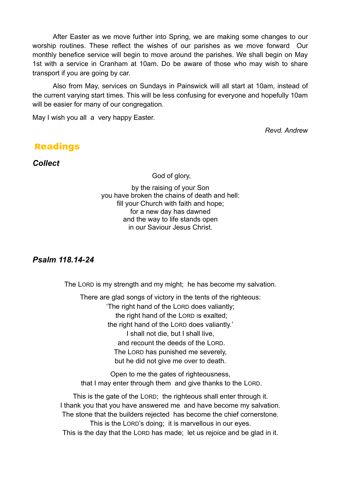After Easter as we move further into Spring, we are making some changes to our worship routines. These reflect the wishes of our parishes as we move forward Our monthly benefice service will begin to move around the parishes. We shall begin on May 1st with a service in Cranham at 10am. Do be aware of those who may wish to share transport if you are going by car.

Also from May, services on Sundays in Painswick will all start at 10am, instead of the current varying start times. This will be less confusing for everyone and hopefully 10am will be easier for many of our congregation.

May I wish you all a very happy Easter.

*Revd. Andrew*

## Readings

#### *Collect*

God of glory,

by the raising of your Son you have broken the chains of death and hell: fill your Church with faith and hope; for a new day has dawned and the way to life stands open in our Saviour Jesus Christ.

#### *Psalm 118.14-24*

The LORD is my strength and my might; he has become my salvation.

There are glad songs of victory in the tents of the righteous: 'The right hand of the LORD does valiantly; the right hand of the LORD Is exalted; the right hand of the LORD does valiantly.' I shall not die, but I shall live, and recount the deeds of the LORD. The LORD has punished me severely, but he did not give me over to death.

Open to me the gates of righteousness, that I may enter through them and give thanks to the LORD.

This is the gate of the LORD; the righteous shall enter through it. I thank you that you have answered me and have become my salvation. The stone that the builders rejected has become the chief cornerstone. This is the LORD's doing; it is marvellous in our eyes. This is the day that the LORD has made; let us rejoice and be glad in it.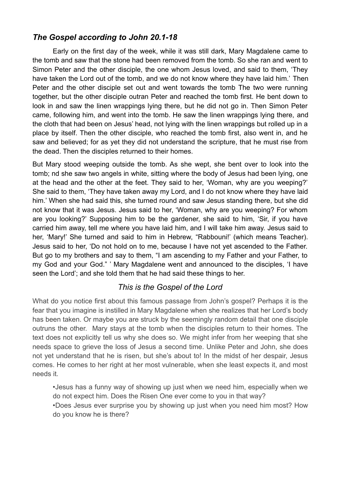## *The Gospel according to John 20.1-18*

Early on the first day of the week, while it was still dark, Mary Magdalene came to the tomb and saw that the stone had been removed from the tomb. So she ran and went to Simon Peter and the other disciple, the one whom Jesus loved, and said to them, 'They have taken the Lord out of the tomb, and we do not know where they have laid him.' Then Peter and the other disciple set out and went towards the tomb The two were running together, but the other disciple outran Peter and reached the tomb first. He bent down to look in and saw the linen wrappings lying there, but he did not go in. Then Simon Peter came, following him, and went into the tomb. He saw the linen wrappings lying there, and the cloth that had been on Jesus' head, not lying with the linen wrappings but rolled up in a place by itself. Then the other disciple, who reached the tomb first, also went in, and he saw and believed; for as yet they did not understand the scripture, that he must rise from the dead. Then the disciples returned to their homes.

But Mary stood weeping outside the tomb. As she wept, she bent over to look into the tomb; nd she saw two angels in white, sitting where the body of Jesus had been lying, one at the head and the other at the feet. They said to her, 'Woman, why are you weeping?' She said to them, 'They have taken away my Lord, and I do not know where they have laid him.' When she had said this, she turned round and saw Jesus standing there, but she did not know that it was Jesus. Jesus said to her, 'Woman, why are you weeping? For whom are you looking?' Supposing him to be the gardener, she said to him, 'Sir, if you have carried him away, tell me where you have laid him, and I will take him away. Jesus said to her, 'Mary!' She turned and said to him in Hebrew, "Rabbouni!' (which means Teacher). Jesus said to her, 'Do not hold on to me, because I have not yet ascended to the Father. But go to my brothers and say to them, "I am ascending to my Father and your Father, to my God and your God." ' Mary Magdalene went and announced to the disciples, 'I have seen the Lord'; and she told them that he had said these things to her.

## *This is the Gospel of the Lord*

What do you notice first about this famous passage from John's gospel? Perhaps it is the fear that you imagine is instilled in Mary Magdalene when she realizes that her Lord's body has been taken. Or maybe you are struck by the seemingly random detail that one disciple outruns the other. Mary stays at the tomb when the disciples return to their homes. The text does not explicitly tell us why she does so. We might infer from her weeping that she needs space to grieve the loss of Jesus a second time. Unlike Peter and John, she does not yet understand that he is risen, but she's about to! In the midst of her despair, Jesus comes. He comes to her right at her most vulnerable, when she least expects it, and most needs it.

•Jesus has a funny way of showing up just when we need him, especially when we do not expect him. Does the Risen One ever come to you in that way? •Does Jesus ever surprise you by showing up just when you need him most? How do you know he is there?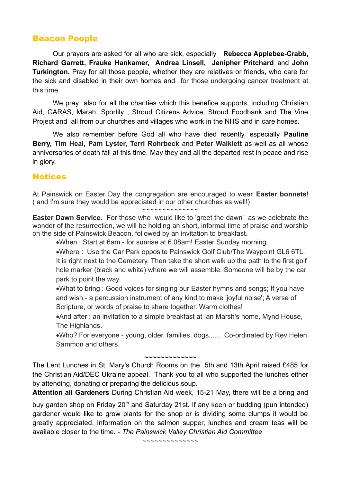### Beacon People

Our prayers are asked for all who are sick, especially **Rebecca Applebee-Crabb, Richard Garrett, Frauke Hankamer, Andrea Linsell, Jenipher Pritchard** and **John Turkington.** Pray for all those people, whether they are relatives or friends, who care for the sick and disabled in their own homes and for those undergoing cancer treatment at this time.

We pray also for all the charities which this benefice supports, including Christian Aid, GARAS, Marah, Sportily , Stroud Citizens Advice, Stroud Foodbank and The Vine Project and all from our churches and villages who work in the NHS and in care homes.

We also remember before God all who have died recently, especially **Pauline Berry, Tim Heal, Pam Lyster, Terri Rohrbeck** and **Peter Walklett** as well as all whose anniversaries of death fall at this time. May they and all the departed rest in peace and rise in glory.

#### **Notices**

At Painswick on Easter Day the congregation are encouraged to wear **Easter bonnets**! ( and I'm sure they would be appreciated in our other churches as well!)

~~~~~~~~~~~~~~ **Easter Dawn Service.** For those who would like to 'greet the dawn' as we celebrate the wonder of the resurrection, we will be holding an short, informal time of praise and worship on the side of Painswick Beacon, followed by an invitation to breakfast.

When : Start at 6am - for sunrise at 6.08am! Easter Sunday morning.

Where : Use the Car Park opposite Painswick Golf Club/The Waypoint GL6 6TL.

It is right next to the Cemetery. Then take the short walk up the path to the first golf hole marker (black and white) where we will assemble. Someone will be by the car park to point the way.

What to bring : Good voices for singing our Easter hymns and songs; If you have and wish - a percussion instrument of any kind to make 'joyful noise'; A verse of Scripture, or words of praise to share together. Warm clothes!

And after : an invitation to a simple breakfast at Ian Marsh's home, Mynd House, The Highlands.

Who? For everyone - young, older, families, dogs...... Co-ordinated by Rev Helen Sammon and others.

**~~~~~~~~~~~~~**

The Lent Lunches in St. Mary's Church Rooms on the 5th and 13th April raised £485 for the Christian Aid/DEC Ukraine appeal. Thank you to all who supported the lunches either by attending, donating or preparing the delicious soup.

**Attention all Gardeners** During Christian Aid week, 15-21 May, there will be a bring and

buy garden shop on Friday  $20<sup>th</sup>$  and Saturday 21st. If any keen or budding (pun intended) gardener would like to grow plants for the shop or is dividing some clumps it would be greatly appreciated. Information on the salmon supper, lunches and cream teas will be available closer to the time. - *The Painswick Valley Christian Aid Committee* 

~~~~~~~~~~~~~~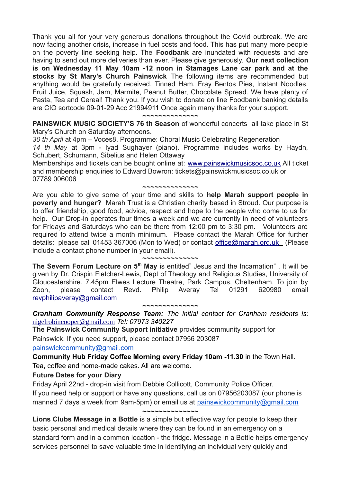Thank you all for your very generous donations throughout the Covid outbreak. We are now facing another crisis, increase in fuel costs and food. This has put many more people on the poverty line seeking help. The **Foodbank** are inundated with requests and are having to send out more deliveries than ever. Please give generously. **Our next collection is on Wednesday 11 May 10am -12 noon in Stamages Lane car park and at the stocks by St Mary's Church Painswick** The following items are recommended but anything would be gratefully received. Tinned Ham, Fray Bentos Pies, Instant Noodles, Fruit Juice, Squash, Jam, Marmite, Peanut Butter, Chocolate Spread. We have plenty of Pasta, Tea and Cereal! Thank you. If you wish to donate on line Foodbank banking details are CIO sortcode 09-01-29 Acc 21994911 Once again many thanks for your support.

**~~~~~~~~~~~~~~**

**PAINSWICK MUSIC SOCIETY'S 76 th Season** of wonderful concerts all take place in St Mary's Church on Saturday afternoons.

*30 th April* at 4pm – Voces8. Programme: Choral Music Celebrating Regeneration

*14 th May* at 3pm - Iyad Sughayer (piano). Programme includes works by Haydn, Schubert, Schumann, Sibelius and Helen Ottaway

Memberships and tickets can be bought online at: [www.painswickmusicsoc.co.uk](http://www.painswickmusicsoc.co.uk/) All ticket and membership enquiries to Edward Bowron: tickets@painswickmusicsoc.co.uk or 07789 006006

**~~~~~~~~~~~~~~**

Are you able to give some of your time and skills to **help Marah support people in poverty and hunger?** Marah Trust is a Christian charity based in Stroud. Our purpose is to offer friendship, good food, advice, respect and hope to the people who come to us for help. Our Drop-in operates four times a week and we are currently in need of volunteers for Fridays and Saturdays who can be there from 12:00 pm to 3:30 pm. Volunteers are required to attend twice a month minimum. Please contact the Marah Office for further details: please call 01453 367006 (Mon to Wed) or contact [office@marah.org.uk](mailto:office@marah.org.uk) (Please include a contact phone number in your email).

**~~~~~~~~~~~~~~ The Severn Forum Lecture on 5th May** is entitled" Jesus and the Incarnation" . It will be given by Dr. Crispin Fletcher-Lewis, Dept of Theology and Religious Studies, University of Gloucestershire. 7.45pm Elwes Lecture Theatre, Park Campus, Cheltenham. To join by Zoon, please contact Revd. Philip Averay Tel 01291 620980 email [revphilipaveray@gmail.com](mailto:revphilipaveray@gmail.com)

**~~~~~~~~~~~~~~** *Cranham Community Response Team: The initial contact for Cranham residents is:* [nigelrobincooper@gmail.com](mailto:nigelrobincooper@gmail.com) *Tel: 07973 340227*

**The Painswick Community Support initiative** provides community support for Painswick. If you need support, please contact 07956 203087

[painswickcommunity@gmail.com](mailto:painswickcommunity@gmail.com)

**Community Hub Friday Coffee Morning every Friday 10am -11.30** in the Town Hall. Tea, coffee and home-made cakes. All are welcome.

#### **Future Dates for your Diary**

Friday April 22nd - drop-in visit from Debbie Collicott, Community Police Officer. If you need help or support or have any questions, call us on 07956203087 (our phone is manned 7 days a week from 9am-5pm) or email us at [painswickcommunity@gmail.com](mailto:painswickcommunity@gmail.com)

**Lions Clubs Message in a Bottle** is a simple but effective way for people to keep their basic personal and medical details where they can be found in an emergency on a standard form and in a common location - the fridge. Message in a Bottle helps emergency services personnel to save valuable time in identifying an individual very quickly and

**~~~~~~~~~~~~~~**